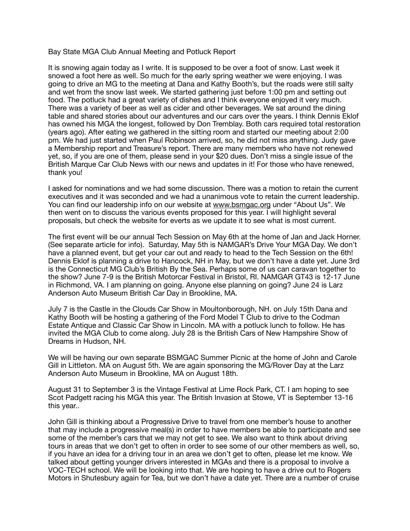## Bay State MGA Club Annual Meeting and Potluck Report

It is snowing again today as I write. It is supposed to be over a foot of snow. Last week it snowed a foot here as well. So much for the early spring weather we were enjoying. I was going to drive an MG to the meeting at Dana and Kathy Booth's, but the roads were still salty and wet from the snow last week. We started gathering just before 1:00 pm and setting out food. The potluck had a great variety of dishes and I think everyone enjoyed it very much. There was a variety of beer as well as cider and other beverages. We sat around the dining table and shared stories about our adventures and our cars over the years. I think Dennis Eklof has owned his MGA the longest, followed by Don Tremblay. Both cars required total restoration (years ago). After eating we gathered in the sitting room and started our meeting about 2:00 pm. We had just started when Paul Robinson arrived, so, he did not miss anything. Judy gave a Membership report and Treasure's report. There are many members who have not renewed yet, so, if you are one of them, please send in your \$20 dues. Don't miss a single issue of the British Marque Car Club News with our news and updates in it! For those who have renewed, thank you!

I asked for nominations and we had some discussion. There was a motion to retain the current executives and it was seconded and we had a unanimous vote to retain the current leadership. You can find our leadership info on our website at [www.bsmgac.org](http://www.bsmgac.org) under "About Us". We then went on to discuss the various events proposed for this year. I will highlight several proposals, but check the website for everts as we update it to see what is most current.

The first event will be our annual Tech Session on May 6th at the home of Jan and Jack Horner. (See separate article for info). Saturday, May 5th is NAMGAR's Drive Your MGA Day. We don't have a planned event, but get your car out and ready to head to the Tech Session on the 6th! Dennis Eklof is planning a drive to Hancock, NH in May, but we don't have a date yet. June 3rd is the Connecticut MG Club's British By the Sea. Perhaps some of us can caravan together to the show? June 7-9 is the British Motorcar Festival in Bristol, RI. NAMGAR GT43 is 12-17 June in Richmond, VA. I am planning on going. Anyone else planning on going? June 24 is Larz Anderson Auto Museum British Car Day in Brookline, MA.

July 7 is the Castle in the Clouds Car Show in Moultonborough, NH. on July 15th Dana and Kathy Booth will be hosting a gathering of the Ford Model T Club to drive to the Codman Estate Antique and Classic Car Show in Lincoln. MA with a potluck lunch to follow. He has invited the MGA Club to come along. July 28 is the British Cars of New Hampshire Show of Dreams in Hudson, NH.

We will be having our own separate BSMGAC Summer Picnic at the home of John and Carole Gill in Littleton. MA on August 5th. We are again sponsoring the MG/Rover Day at the Larz Anderson Auto Museum in Brookline, MA on August 18th.

August 31 to September 3 is the Vintage Festival at Lime Rock Park, CT. I am hoping to see Scot Padgett racing his MGA this year. The British Invasion at Stowe, VT is September 13-16 this year..

John Gill is thinking about a Progressive Drive to travel from one member's house to another that may include a progressive meal(s) in order to have members be able to participate and see some of the member's cars that we may not get to see. We also want to think about driving tours in areas that we don't get to often in order to see some of our other members as well, so, if you have an idea for a driving tour in an area we don't get to often, please let me know. We talked about getting younger drivers interested in MGAs and there is a proposal to involve a VOC-TECH school. We will be looking into that. We are hoping to have a drive out to Rogers Motors in Shutesbury again for Tea, but we don't have a date yet. There are a number of cruise